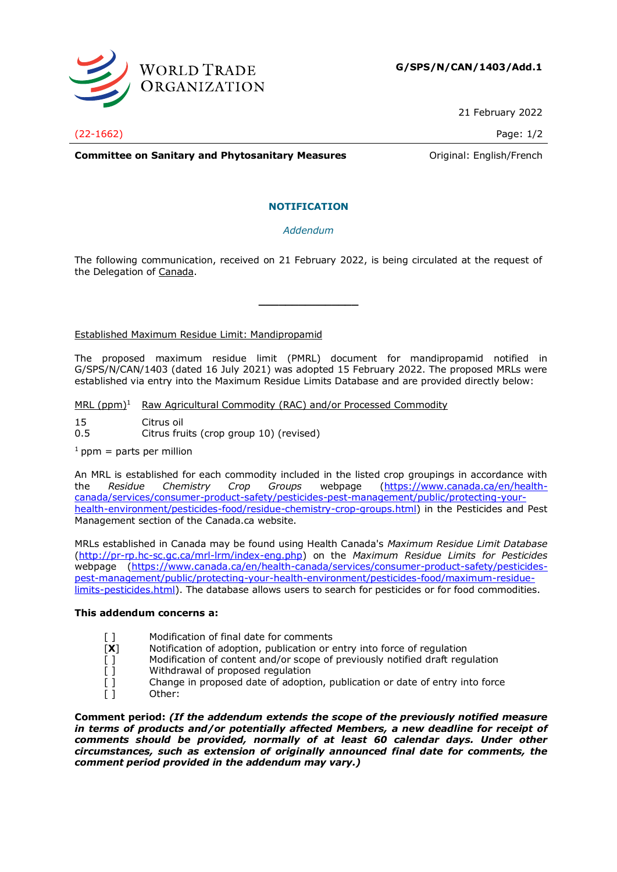

21 February 2022

(22-1662) Page: 1/2

**Committee on Sanitary and Phytosanitary Measures Committee on Sanitary and Phytosanitary Measures Committee on Sanitary American** 

# **NOTIFICATION**

# *Addendum*

The following communication, received on 21 February 2022, is being circulated at the request of the Delegation of Canada.

**\_\_\_\_\_\_\_\_\_\_\_\_\_\_\_**

## Established Maximum Residue Limit: Mandipropamid

The proposed maximum residue limit (PMRL) document for mandipropamid notified in G/SPS/N/CAN/1403 (dated 16 July 2021) was adopted 15 February 2022. The proposed MRLs were established via entry into the Maximum Residue Limits Database and are provided directly below:

MRL  $(ppm)^1$  Raw Agricultural Commodity (RAC) and/or Processed Commodity

- 15 Citrus oil
- 0.5 Citrus fruits (crop group 10) (revised)
- $1$  ppm = parts per million

An MRL is established for each commodity included in the listed crop groupings in accordance with the *Residue Chemistry Crop Groups* webpage [\(https://www.canada.ca/en/health](https://www.canada.ca/en/health-canada/services/consumer-product-safety/pesticides-pest-management/public/protecting-your-health-environment/pesticides-food/residue-chemistry-crop-groups.html)[canada/services/consumer-product-safety/pesticides-pest-management/public/protecting-your](https://www.canada.ca/en/health-canada/services/consumer-product-safety/pesticides-pest-management/public/protecting-your-health-environment/pesticides-food/residue-chemistry-crop-groups.html)[health-environment/pesticides-food/residue-chemistry-crop-groups.html\)](https://www.canada.ca/en/health-canada/services/consumer-product-safety/pesticides-pest-management/public/protecting-your-health-environment/pesticides-food/residue-chemistry-crop-groups.html) in the Pesticides and Pest Management section of the Canada.ca website.

MRLs established in Canada may be found using Health Canada's *Maximum Residue Limit Database* [\(http://pr-rp.hc-sc.gc.ca/mrl-lrm/index-eng.php\)](http://pr-rp.hc-sc.gc.ca/mrl-lrm/index-eng.php) on the *Maximum Residue Limits for Pesticides*  webpage [\(https://www.canada.ca/en/health-canada/services/consumer-product-safety/pesticides](https://www.canada.ca/en/health-canada/services/consumer-product-safety/pesticides-pest-management/public/protecting-your-health-environment/pesticides-food/maximum-residue-limits-pesticides.html)[pest-management/public/protecting-your-health-environment/pesticides-food/maximum-residue](https://www.canada.ca/en/health-canada/services/consumer-product-safety/pesticides-pest-management/public/protecting-your-health-environment/pesticides-food/maximum-residue-limits-pesticides.html)[limits-pesticides.html\)](https://www.canada.ca/en/health-canada/services/consumer-product-safety/pesticides-pest-management/public/protecting-your-health-environment/pesticides-food/maximum-residue-limits-pesticides.html). The database allows users to search for pesticides or for food commodities.

## **This addendum concerns a:**

- [ ] Modification of final date for comments
- 
- [**X**] Notification of adoption, publication or entry into force of regulation [] Modification of content and/or scope of previously notified draft regulation Modification of content and/or scope of previously notified draft regulation
- [ ] Withdrawal of proposed regulation
- [ ] Change in proposed date of adoption, publication or date of entry into force
- [ ] Other:

**Comment period:** *(If the addendum extends the scope of the previously notified measure*  in terms of products and/or potentially affected Members, a new deadline for receipt of *comments should be provided, normally of at least 60 calendar days. Under other circumstances, such as extension of originally announced final date for comments, the comment period provided in the addendum may vary.)*